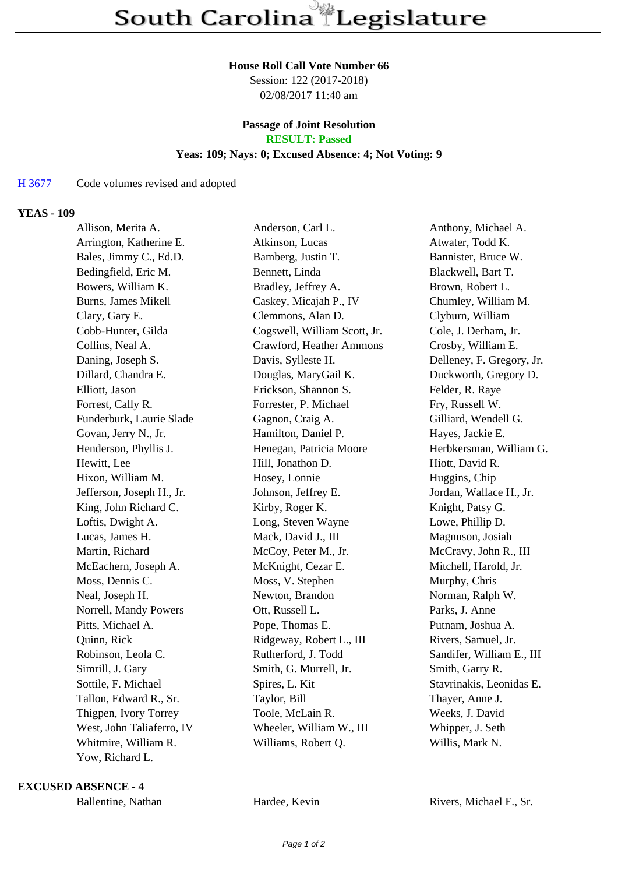### **House Roll Call Vote Number 66**

Session: 122 (2017-2018) 02/08/2017 11:40 am

### **Passage of Joint Resolution RESULT: Passed**

# **Yeas: 109; Nays: 0; Excused Absence: 4; Not Voting: 9**

## H 3677 Code volumes revised and adopted

### **YEAS - 109**

| Allison, Merita A.        | Anderson, Carl L.            | Anthony, Michael A.       |
|---------------------------|------------------------------|---------------------------|
| Arrington, Katherine E.   | Atkinson, Lucas              | Atwater, Todd K.          |
| Bales, Jimmy C., Ed.D.    | Bamberg, Justin T.           | Bannister, Bruce W.       |
| Bedingfield, Eric M.      | Bennett, Linda               | Blackwell, Bart T.        |
| Bowers, William K.        | Bradley, Jeffrey A.          | Brown, Robert L.          |
| Burns, James Mikell       | Caskey, Micajah P., IV       | Chumley, William M.       |
| Clary, Gary E.            | Clemmons, Alan D.            | Clyburn, William          |
| Cobb-Hunter, Gilda        | Cogswell, William Scott, Jr. | Cole, J. Derham, Jr.      |
| Collins, Neal A.          | Crawford, Heather Ammons     | Crosby, William E.        |
| Daning, Joseph S.         | Davis, Sylleste H.           | Delleney, F. Gregory, Jr. |
| Dillard, Chandra E.       | Douglas, MaryGail K.         | Duckworth, Gregory D.     |
| Elliott, Jason            | Erickson, Shannon S.         | Felder, R. Raye           |
| Forrest, Cally R.         | Forrester, P. Michael        | Fry, Russell W.           |
| Funderburk, Laurie Slade  | Gagnon, Craig A.             | Gilliard, Wendell G.      |
| Govan, Jerry N., Jr.      | Hamilton, Daniel P.          | Hayes, Jackie E.          |
| Henderson, Phyllis J.     | Henegan, Patricia Moore      | Herbkersman, William G.   |
| Hewitt, Lee               | Hill, Jonathon D.            | Hiott, David R.           |
| Hixon, William M.         | Hosey, Lonnie                | Huggins, Chip             |
| Jefferson, Joseph H., Jr. | Johnson, Jeffrey E.          | Jordan, Wallace H., Jr.   |
| King, John Richard C.     | Kirby, Roger K.              | Knight, Patsy G.          |
| Loftis, Dwight A.         | Long, Steven Wayne           | Lowe, Phillip D.          |
| Lucas, James H.           | Mack, David J., III          | Magnuson, Josiah          |
| Martin, Richard           | McCoy, Peter M., Jr.         | McCravy, John R., III     |
| McEachern, Joseph A.      | McKnight, Cezar E.           | Mitchell, Harold, Jr.     |
| Moss, Dennis C.           | Moss, V. Stephen             | Murphy, Chris             |
| Neal, Joseph H.           | Newton, Brandon              | Norman, Ralph W.          |
| Norrell, Mandy Powers     | Ott, Russell L.              | Parks, J. Anne            |
| Pitts, Michael A.         | Pope, Thomas E.              | Putnam, Joshua A.         |
| Quinn, Rick               | Ridgeway, Robert L., III     | Rivers, Samuel, Jr.       |
| Robinson, Leola C.        | Rutherford, J. Todd          | Sandifer, William E., III |
| Simrill, J. Gary          | Smith, G. Murrell, Jr.       | Smith, Garry R.           |
| Sottile, F. Michael       | Spires, L. Kit               | Stavrinakis, Leonidas E.  |
| Tallon, Edward R., Sr.    | Taylor, Bill                 | Thayer, Anne J.           |
| Thigpen, Ivory Torrey     | Toole, McLain R.             | Weeks, J. David           |
| West, John Taliaferro, IV | Wheeler, William W., III     | Whipper, J. Seth          |
| Whitmire, William R.      | Williams, Robert Q.          | Willis, Mark N.           |
| Yow, Richard L.           |                              |                           |

**EXCUSED ABSENCE - 4**

Ballentine, Nathan Hardee, Kevin Rivers, Michael F., Sr.